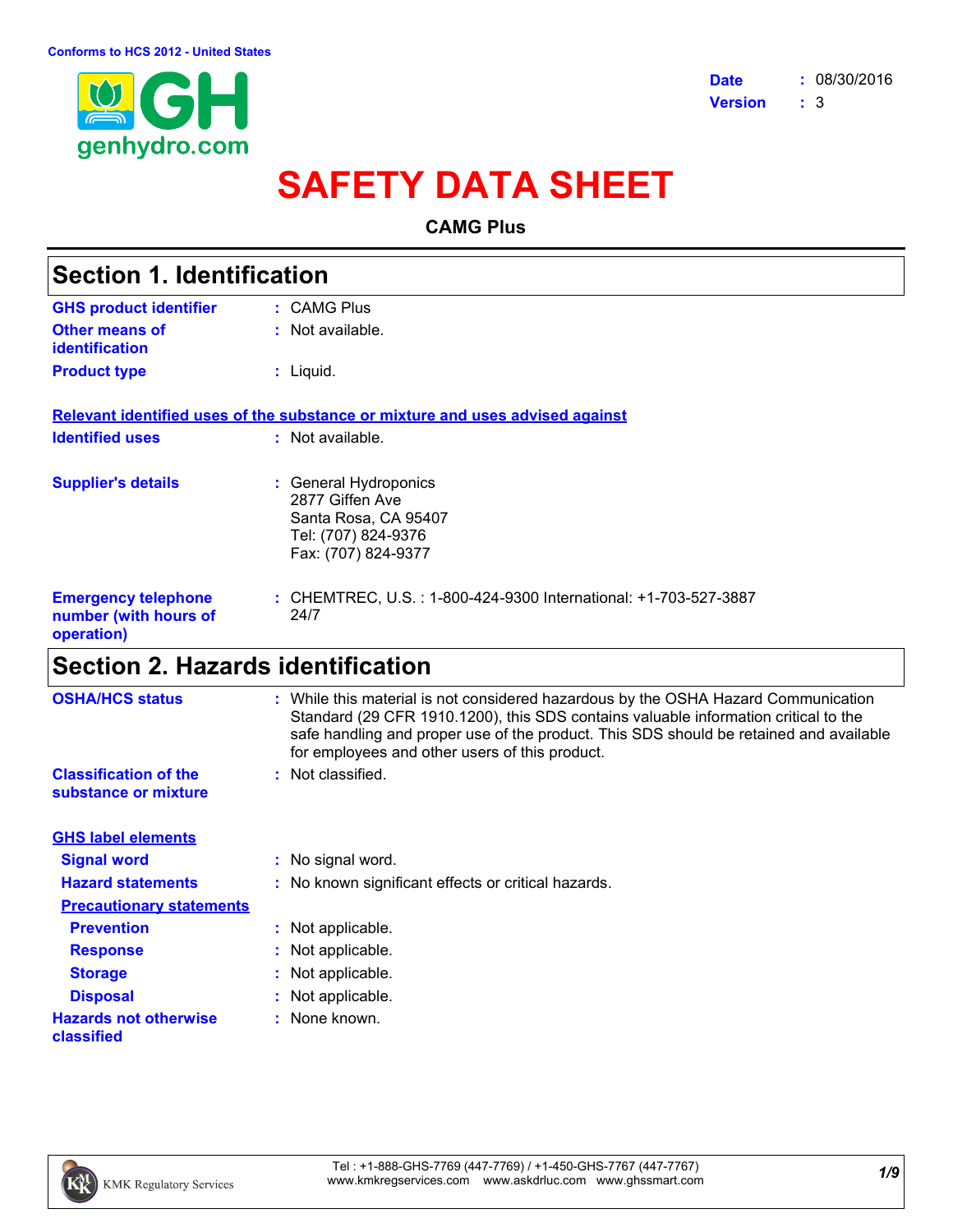

# **SAFETY DATA SHEET**

**CAMG Plus**

| <b>Section 1. Identification</b>                                  |                                                                                                                |  |
|-------------------------------------------------------------------|----------------------------------------------------------------------------------------------------------------|--|
| <b>GHS product identifier</b>                                     | : CAMG Plus                                                                                                    |  |
| Other means of<br><b>identification</b>                           | : Not available.                                                                                               |  |
| <b>Product type</b>                                               | $:$ Liquid.                                                                                                    |  |
|                                                                   | Relevant identified uses of the substance or mixture and uses advised against                                  |  |
| <b>Identified uses</b>                                            | : Not available.                                                                                               |  |
| <b>Supplier's details</b>                                         | : General Hydroponics<br>2877 Giffen Ave<br>Santa Rosa, CA 95407<br>Tel: (707) 824-9376<br>Fax: (707) 824-9377 |  |
| <b>Emergency telephone</b><br>number (with hours of<br>operation) | : CHEMTREC, U.S. : 1-800-424-9300 International: +1-703-527-3887<br>24/7                                       |  |
|                                                                   |                                                                                                                |  |

# **Section 2. Hazards identification**

| <b>OSHA/HCS status</b>                               | : While this material is not considered hazardous by the OSHA Hazard Communication<br>Standard (29 CFR 1910.1200), this SDS contains valuable information critical to the<br>safe handling and proper use of the product. This SDS should be retained and available<br>for employees and other users of this product. |
|------------------------------------------------------|-----------------------------------------------------------------------------------------------------------------------------------------------------------------------------------------------------------------------------------------------------------------------------------------------------------------------|
| <b>Classification of the</b><br>substance or mixture | : Not classified.                                                                                                                                                                                                                                                                                                     |
| <b>GHS label elements</b>                            |                                                                                                                                                                                                                                                                                                                       |
| <b>Signal word</b>                                   | : No signal word.                                                                                                                                                                                                                                                                                                     |
| <b>Hazard statements</b>                             | : No known significant effects or critical hazards.                                                                                                                                                                                                                                                                   |
| <b>Precautionary statements</b>                      |                                                                                                                                                                                                                                                                                                                       |
| <b>Prevention</b>                                    | : Not applicable.                                                                                                                                                                                                                                                                                                     |
| <b>Response</b>                                      | : Not applicable.                                                                                                                                                                                                                                                                                                     |
| <b>Storage</b>                                       | : Not applicable.                                                                                                                                                                                                                                                                                                     |
| <b>Disposal</b>                                      | : Not applicable.                                                                                                                                                                                                                                                                                                     |
| <b>Hazards not otherwise</b><br>classified           | : None known.                                                                                                                                                                                                                                                                                                         |

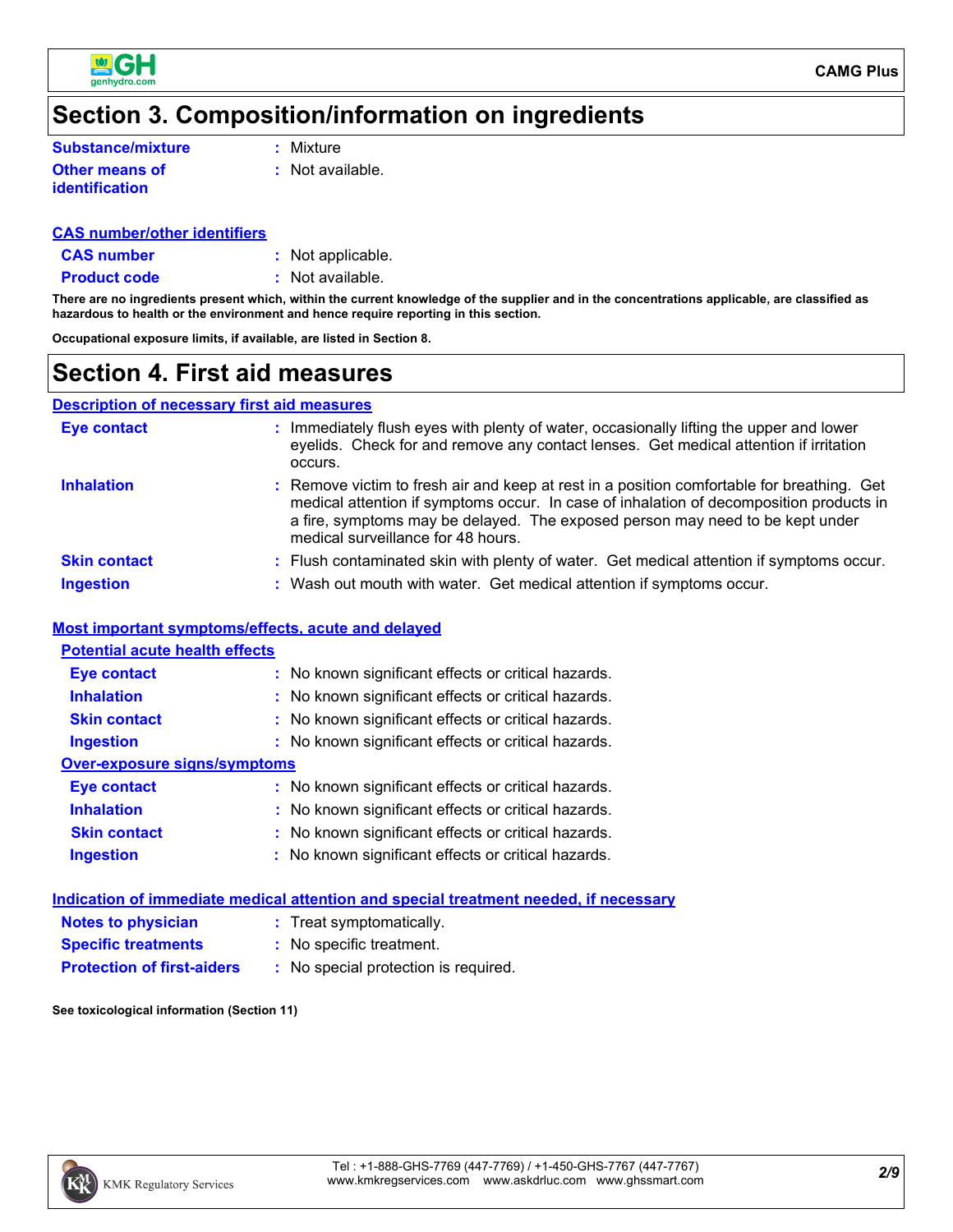

# **Section 3. Composition/information on ingredients**

**Substance/mixture**

**:** Mixture

**Other means of identification**

**:** Not available.

#### **CAS number/other identifiers**

**CAS number :** Not applicable.

**Product code :** Not available.

**There are no ingredients present which, within the current knowledge of the supplier and in the concentrations applicable, are classified as hazardous to health or the environment and hence require reporting in this section.**

**Occupational exposure limits, if available, are listed in Section 8.**

### **Section 4. First aid measures**

#### **Description of necessary first aid measures**

| <b>Eye contact</b>  | : Immediately flush eyes with plenty of water, occasionally lifting the upper and lower<br>eyelids. Check for and remove any contact lenses. Get medical attention if irritation<br>occurs.                                                                                                                  |
|---------------------|--------------------------------------------------------------------------------------------------------------------------------------------------------------------------------------------------------------------------------------------------------------------------------------------------------------|
| <b>Inhalation</b>   | : Remove victim to fresh air and keep at rest in a position comfortable for breathing. Get<br>medical attention if symptoms occur. In case of inhalation of decomposition products in<br>a fire, symptoms may be delayed. The exposed person may need to be kept under<br>medical surveillance for 48 hours. |
| <b>Skin contact</b> | : Flush contaminated skin with plenty of water. Get medical attention if symptoms occur.                                                                                                                                                                                                                     |
| <b>Ingestion</b>    | : Wash out mouth with water. Get medical attention if symptoms occur.                                                                                                                                                                                                                                        |

#### **Most important symptoms/effects, acute and delayed**

| <b>Potential acute health effects</b> |                                                     |
|---------------------------------------|-----------------------------------------------------|
| Eye contact                           | : No known significant effects or critical hazards. |
| <b>Inhalation</b>                     | : No known significant effects or critical hazards. |
| <b>Skin contact</b>                   | : No known significant effects or critical hazards. |
| <b>Ingestion</b>                      | : No known significant effects or critical hazards. |
| Over-exposure signs/symptoms          |                                                     |
| <b>Eye contact</b>                    | : No known significant effects or critical hazards. |
| <b>Inhalation</b>                     | : No known significant effects or critical hazards. |
| <b>Skin contact</b>                   | : No known significant effects or critical hazards. |
| <b>Ingestion</b>                      | : No known significant effects or critical hazards. |

|                                   | Indication of immediate medical attention and special treatment needed, if necessary |
|-----------------------------------|--------------------------------------------------------------------------------------|
| <b>Notes to physician</b>         | : Treat symptomatically.                                                             |
| <b>Specific treatments</b>        | : No specific treatment.                                                             |
| <b>Protection of first-aiders</b> | : No special protection is required.                                                 |
|                                   |                                                                                      |

**See toxicological information (Section 11)**

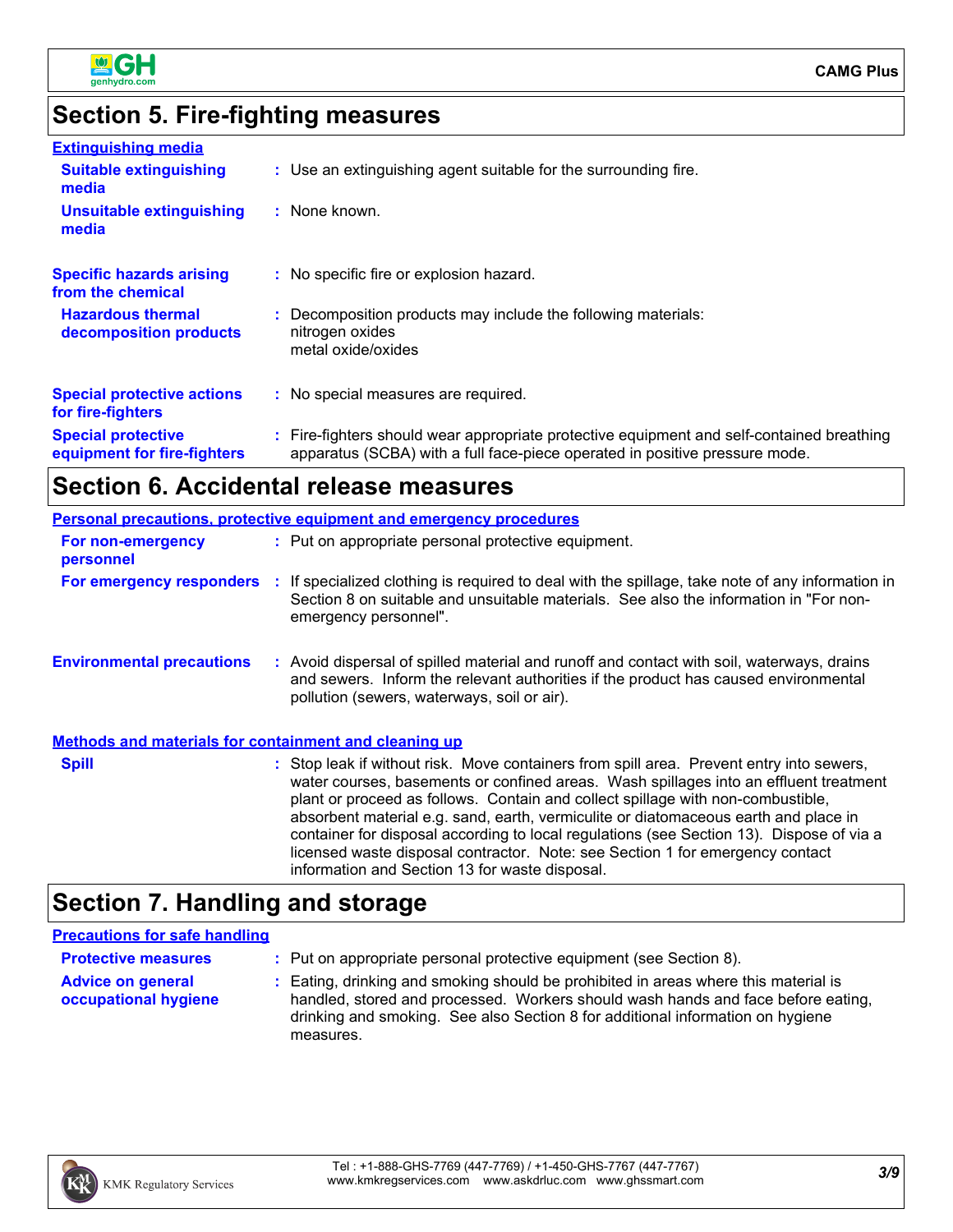

# **Section 5. Fire-fighting measures**

| <b>Extinguishing media</b>                               |                                                                                                                                                                          |
|----------------------------------------------------------|--------------------------------------------------------------------------------------------------------------------------------------------------------------------------|
| <b>Suitable extinguishing</b><br>media                   | : Use an extinguishing agent suitable for the surrounding fire.                                                                                                          |
| <b>Unsuitable extinguishing</b><br>media                 | : None known.                                                                                                                                                            |
| <b>Specific hazards arising</b><br>from the chemical     | : No specific fire or explosion hazard.                                                                                                                                  |
| <b>Hazardous thermal</b><br>decomposition products       | : Decomposition products may include the following materials:<br>nitrogen oxides<br>metal oxide/oxides                                                                   |
| <b>Special protective actions</b><br>for fire-fighters   | : No special measures are required.                                                                                                                                      |
| <b>Special protective</b><br>equipment for fire-fighters | : Fire-fighters should wear appropriate protective equipment and self-contained breathing<br>apparatus (SCBA) with a full face-piece operated in positive pressure mode. |

# **Section 6. Accidental release measures**

|                                                              | <b>Personal precautions, protective equipment and emergency procedures</b>                                                                                                                                                                                                                                                                                                                                                                                                                                                                                                                 |
|--------------------------------------------------------------|--------------------------------------------------------------------------------------------------------------------------------------------------------------------------------------------------------------------------------------------------------------------------------------------------------------------------------------------------------------------------------------------------------------------------------------------------------------------------------------------------------------------------------------------------------------------------------------------|
| For non-emergency<br>personnel                               | : Put on appropriate personal protective equipment.                                                                                                                                                                                                                                                                                                                                                                                                                                                                                                                                        |
| <b>For emergency responders :</b>                            | If specialized clothing is required to deal with the spillage, take note of any information in<br>Section 8 on suitable and unsuitable materials. See also the information in "For non-<br>emergency personnel".                                                                                                                                                                                                                                                                                                                                                                           |
| <b>Environmental precautions</b>                             | : Avoid dispersal of spilled material and runoff and contact with soil, waterways, drains<br>and sewers. Inform the relevant authorities if the product has caused environmental<br>pollution (sewers, waterways, soil or air).                                                                                                                                                                                                                                                                                                                                                            |
| <b>Methods and materials for containment and cleaning up</b> |                                                                                                                                                                                                                                                                                                                                                                                                                                                                                                                                                                                            |
| <b>Spill</b>                                                 | : Stop leak if without risk. Move containers from spill area. Prevent entry into sewers,<br>water courses, basements or confined areas. Wash spillages into an effluent treatment<br>plant or proceed as follows. Contain and collect spillage with non-combustible,<br>absorbent material e.g. sand, earth, vermiculite or diatomaceous earth and place in<br>container for disposal according to local regulations (see Section 13). Dispose of via a<br>licensed waste disposal contractor. Note: see Section 1 for emergency contact<br>information and Section 13 for waste disposal. |

# **Section 7. Handling and storage**

#### **Precautions for safe handling**

| <b>Protective measures</b>                       | : Put on appropriate personal protective equipment (see Section 8).                                                                                                                                                                                                    |
|--------------------------------------------------|------------------------------------------------------------------------------------------------------------------------------------------------------------------------------------------------------------------------------------------------------------------------|
| <b>Advice on general</b><br>occupational hygiene | : Eating, drinking and smoking should be prohibited in areas where this material is<br>handled, stored and processed. Workers should wash hands and face before eating,<br>drinking and smoking. See also Section 8 for additional information on hygiene<br>measures. |

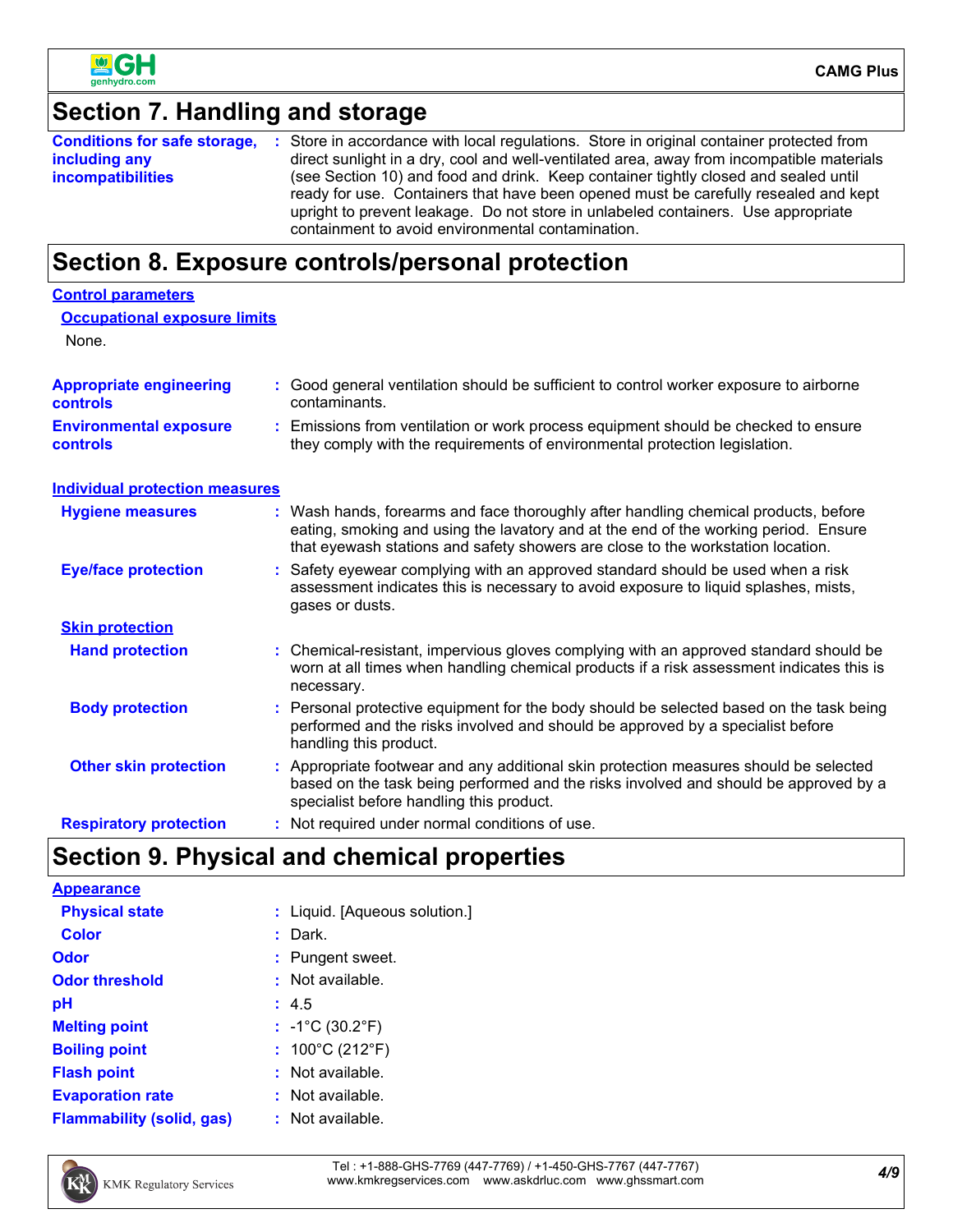

#### **Section 7. Handling and storage Conditions for safe storage, including any incompatibilities** Store in accordance with local regulations. Store in original container protected from **:** direct sunlight in a dry, cool and well-ventilated area, away from incompatible materials (see Section 10) and food and drink. Keep container tightly closed and sealed until ready for use. Containers that have been opened must be carefully resealed and kept upright to prevent leakage. Do not store in unlabeled containers. Use appropriate containment to avoid environmental contamination. **Section 8. Exposure controls/personal protection Hand protection** : Not required under normal conditions of use. Chemical-resistant, impervious gloves complying with an approved standard should be **:** worn at all times when handling chemical products if a risk assessment indicates this is necessary. Safety eyewear complying with an approved standard should be used when a risk **:** assessment indicates this is necessary to avoid exposure to liquid splashes, mists, gases or dusts. **Eye/face protection Respiratory protection : Body protection Personal protective equipment for the body should be selected based on the task being <b>Body** performed and the risks involved and should be approved by a specialist before handling this product. **Environmental exposure controls :** Emissions from ventilation or work process equipment should be checked to ensure they comply with the requirements of environmental protection legislation. **Appropriate engineering controls :** Good general ventilation should be sufficient to control worker exposure to airborne contaminants. Wash hands, forearms and face thoroughly after handling chemical products, before eating, smoking and using the lavatory and at the end of the working period. Ensure that eyewash stations and safety showers are close to the workstation location. **Hygiene measures : Control parameters Individual protection measures Occupational exposure limits Skin protection Other skin protection :** Appropriate footwear and any additional skin protection measures should be selected based on the task being performed and the risks involved and should be approved by a specialist before handling this product. None.

# **Section 9. Physical and chemical properties**

**Appearance**

**Physical state**

| : Liquid. [Aqueous solution.] |  |
|-------------------------------|--|
|-------------------------------|--|

| <b>Color</b>                     | Dark.                                |
|----------------------------------|--------------------------------------|
| Odor                             | : Pungent sweet.                     |
| <b>Odor threshold</b>            | $:$ Not available.                   |
| рH                               | : 4.5                                |
| <b>Melting point</b>             | : $-1^{\circ}C(30.2^{\circ}F)$       |
| <b>Boiling point</b>             | : $100^{\circ}$ C (212 $^{\circ}$ F) |
| <b>Flash point</b>               | $:$ Not available.                   |
| <b>Evaporation rate</b>          | : Not available.                     |
| <b>Flammability (solid, gas)</b> | $:$ Not available.                   |



*4/9* Tel : +1-888-GHS-7769 (447-7769) / +1-450-GHS-7767 (447-7767) www.kmkregservices.com www.askdrluc.com www.ghssmart.com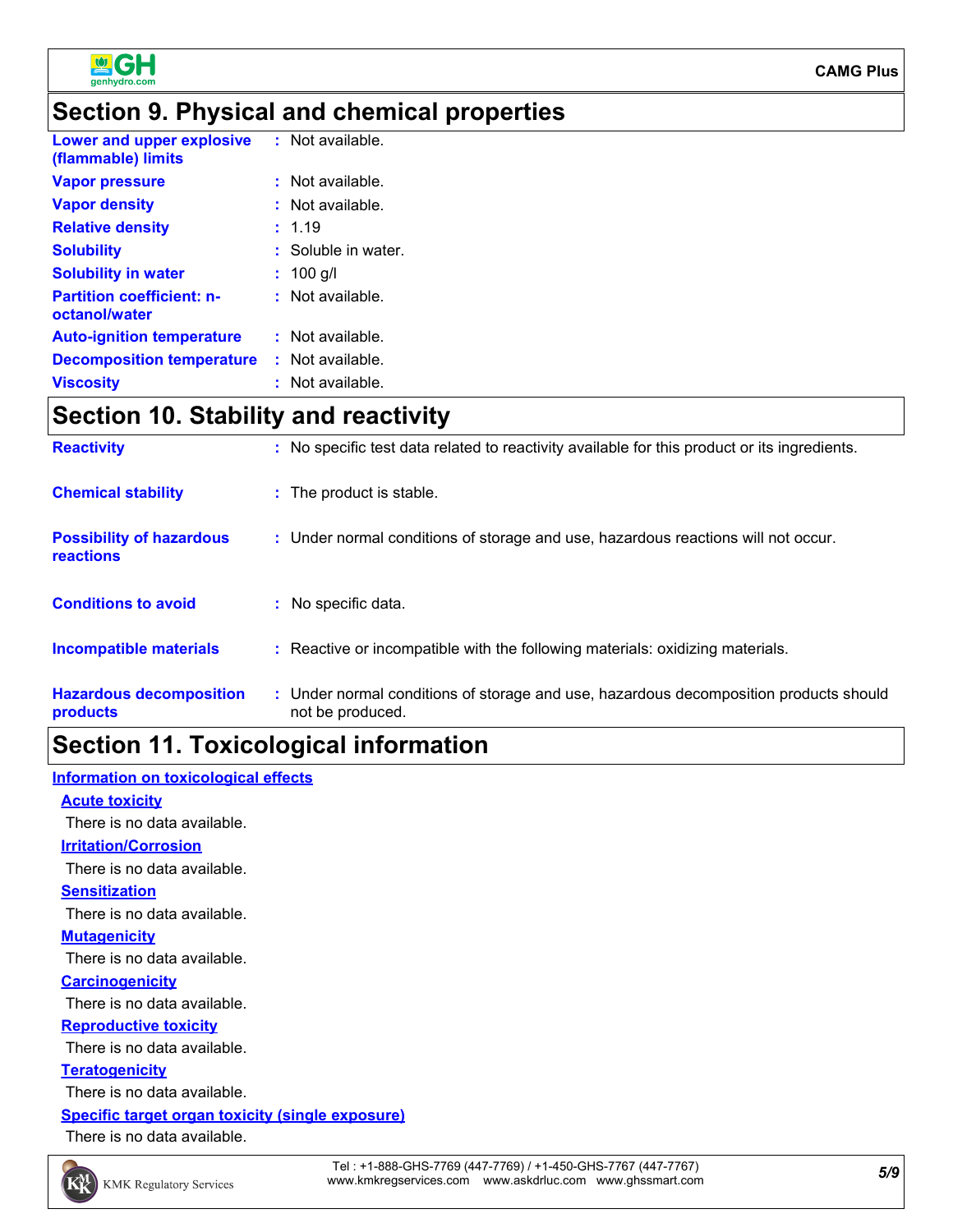

### **Section 9. Physical and chemical properties**

| Lower and upper explosive<br>(flammable) limits   | : Not available.    |
|---------------------------------------------------|---------------------|
| <b>Vapor pressure</b>                             | $:$ Not available.  |
| <b>Vapor density</b>                              | : Not available.    |
| <b>Relative density</b>                           | : 1.19              |
| <b>Solubility</b>                                 | : Soluble in water. |
| <b>Solubility in water</b>                        | $: 100$ g/l         |
| <b>Partition coefficient: n-</b><br>octanol/water | $:$ Not available.  |
| <b>Auto-ignition temperature</b>                  | $:$ Not available.  |
| <b>Decomposition temperature</b>                  | : Not available.    |
| <b>Viscosity</b>                                  | $:$ Not available.  |
|                                                   |                     |

# **Section 10. Stability and reactivity**

| <b>Reactivity</b>                            | : No specific test data related to reactivity available for this product or its ingredients.              |
|----------------------------------------------|-----------------------------------------------------------------------------------------------------------|
| <b>Chemical stability</b>                    | : The product is stable.                                                                                  |
| <b>Possibility of hazardous</b><br>reactions | : Under normal conditions of storage and use, hazardous reactions will not occur.                         |
| <b>Conditions to avoid</b>                   | : No specific data.                                                                                       |
| <b>Incompatible materials</b>                | : Reactive or incompatible with the following materials: oxidizing materials.                             |
| <b>Hazardous decomposition</b><br>products   | : Under normal conditions of storage and use, hazardous decomposition products should<br>not be produced. |

# **Section 11. Toxicological information**

#### **Information on toxicological effects**

#### **Acute toxicity**

There is no data available.

#### **Irritation/Corrosion**

There is no data available.

#### **Sensitization**

There is no data available.

#### **Mutagenicity**

There is no data available.

#### **Carcinogenicity**

There is no data available.

#### **Reproductive toxicity**

There is no data available.

#### **Teratogenicity**

There is no data available.

#### **Specific target organ toxicity (single exposure)**

There is no data available.

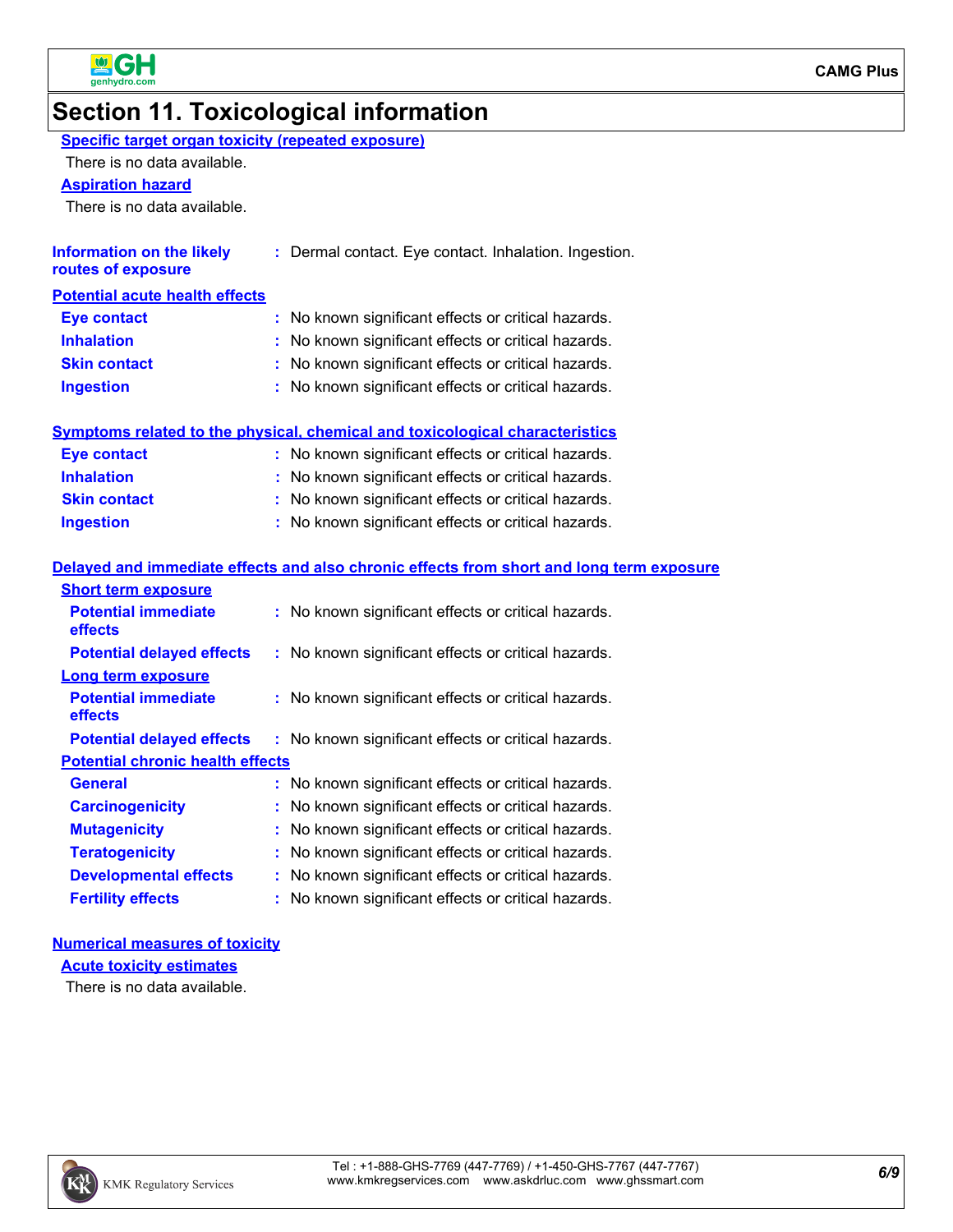

# **Section 11. Toxicological information**

| Specific target organ toxicity (repeated exposure) |
|----------------------------------------------------|
|----------------------------------------------------|

There is no data available.

#### **Aspiration hazard**

There is no data available.

| <b>Information on the likely</b><br>routes of exposure | : Dermal contact. Eye contact. Inhalation. Ingestion. |
|--------------------------------------------------------|-------------------------------------------------------|
| <b>Potential acute health effects</b>                  |                                                       |
| <b>Eye contact</b>                                     | : No known significant effects or critical hazards.   |
| <b>Inhalation</b>                                      | : No known significant effects or critical hazards.   |
| <b>Skin contact</b>                                    | : No known significant effects or critical hazards.   |
| <b>Ingestion</b>                                       | : No known significant effects or critical hazards.   |
|                                                        |                                                       |

| Symptoms related to the physical, chemical and toxicological characteristics |                                                     |  |  |
|------------------------------------------------------------------------------|-----------------------------------------------------|--|--|
| Eye contact                                                                  | : No known significant effects or critical hazards. |  |  |
| <b>Inhalation</b>                                                            | : No known significant effects or critical hazards. |  |  |
| <b>Skin contact</b>                                                          | : No known significant effects or critical hazards. |  |  |
| <b>Ingestion</b>                                                             | : No known significant effects or critical hazards. |  |  |

#### **Delayed and immediate effects and also chronic effects from short and long term exposure**

| <b>Short term exposure</b>              |                                                     |  |  |  |  |
|-----------------------------------------|-----------------------------------------------------|--|--|--|--|
| <b>Potential immediate</b><br>effects   | : No known significant effects or critical hazards. |  |  |  |  |
| <b>Potential delayed effects</b>        | : No known significant effects or critical hazards. |  |  |  |  |
| Long term exposure                      |                                                     |  |  |  |  |
| <b>Potential immediate</b><br>effects   | : No known significant effects or critical hazards. |  |  |  |  |
| <b>Potential delayed effects</b>        | : No known significant effects or critical hazards. |  |  |  |  |
| <b>Potential chronic health effects</b> |                                                     |  |  |  |  |
| General                                 | : No known significant effects or critical hazards. |  |  |  |  |
| <b>Carcinogenicity</b>                  | : No known significant effects or critical hazards. |  |  |  |  |
| <b>Mutagenicity</b>                     | : No known significant effects or critical hazards. |  |  |  |  |
| <b>Teratogenicity</b>                   | No known significant effects or critical hazards.   |  |  |  |  |
| <b>Developmental effects</b>            | : No known significant effects or critical hazards. |  |  |  |  |
| <b>Fertility effects</b>                | : No known significant effects or critical hazards. |  |  |  |  |

#### **Numerical measures of toxicity**

**Acute toxicity estimates**

There is no data available.

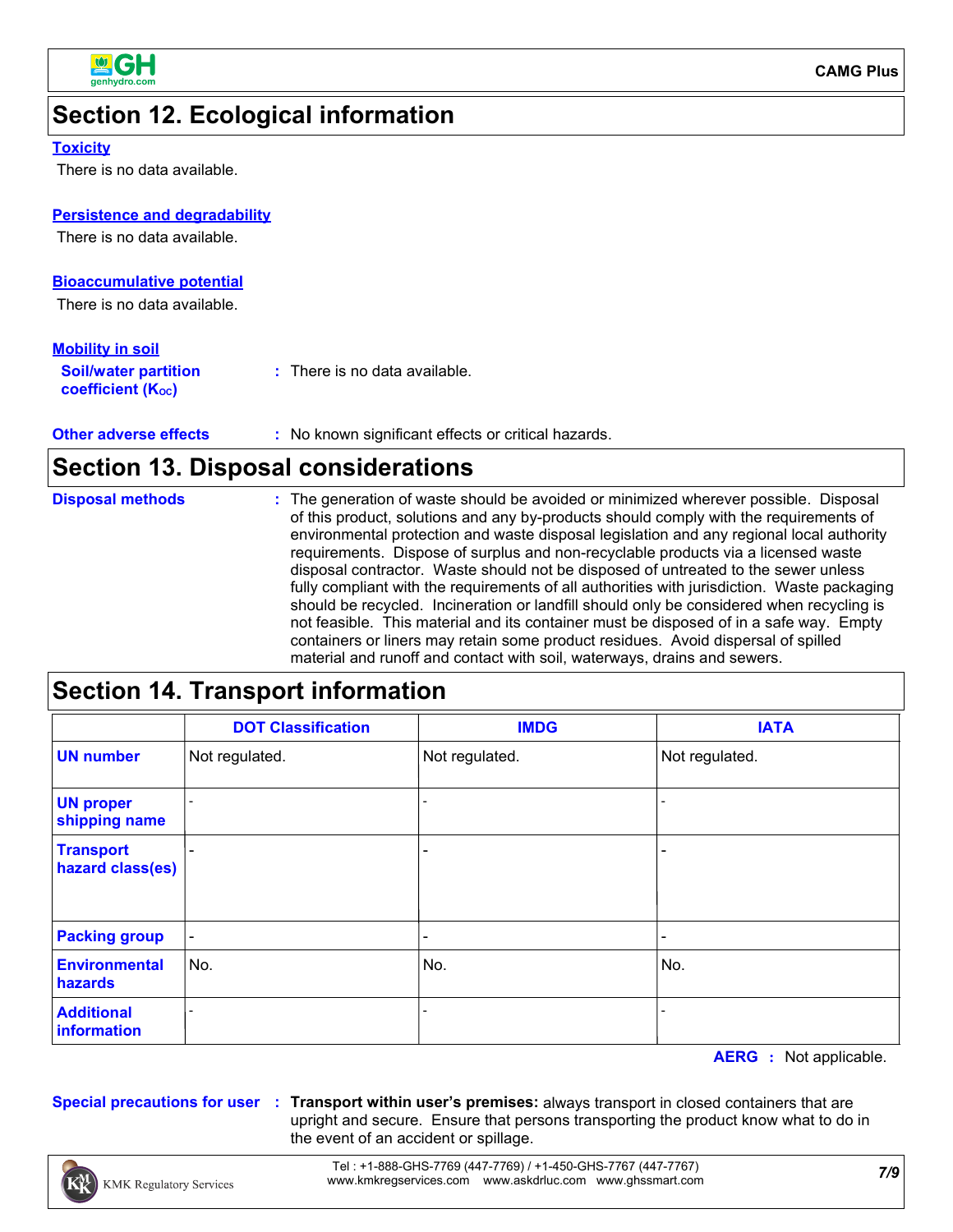

# **Section 12. Ecological information**

#### **Toxicity**

There is no data available.

#### **Persistence and degradability**

There is no data available.

#### **Bioaccumulative potential**

There is no data available.

#### **Mobility in soil**

| <b>Soil/water partition</b><br>coefficient (K <sub>oc</sub> ) | : There is no data available. |  |
|---------------------------------------------------------------|-------------------------------|--|
|                                                               |                               |  |

**Other adverse effects** : No known significant effects or critical hazards.

### **Section 13. Disposal considerations**

| <b>Disposal methods</b> | : The generation of waste should be avoided or minimized wherever possible. Disposal        |
|-------------------------|---------------------------------------------------------------------------------------------|
|                         | of this product, solutions and any by-products should comply with the requirements of       |
|                         | environmental protection and waste disposal legislation and any regional local authority    |
|                         | requirements. Dispose of surplus and non-recyclable products via a licensed waste           |
|                         | disposal contractor. Waste should not be disposed of untreated to the sewer unless          |
|                         | fully compliant with the requirements of all authorities with jurisdiction. Waste packaging |
|                         | should be recycled. Incineration or landfill should only be considered when recycling is    |
|                         | not feasible. This material and its container must be disposed of in a safe way. Empty      |
|                         | containers or liners may retain some product residues. Avoid dispersal of spilled           |
|                         | material and runoff and contact with soil, waterways, drains and sewers.                    |

### **Section 14. Transport information**

|                                      | <b>DOT Classification</b> | <b>IMDG</b>    | <b>IATA</b>    |
|--------------------------------------|---------------------------|----------------|----------------|
| <b>UN number</b>                     | Not regulated.            | Not regulated. | Not regulated. |
| <b>UN proper</b><br>shipping name    |                           |                |                |
| <b>Transport</b><br>hazard class(es) |                           | -              |                |
| <b>Packing group</b>                 | $\blacksquare$            |                |                |
| <b>Environmental</b><br>hazards      | No.                       | No.            | No.            |
| <b>Additional</b><br>information     |                           |                |                |

**AERG :** Not applicable.

**Special precautions for user Transport within user's premises:** always transport in closed containers that are **:** upright and secure. Ensure that persons transporting the product know what to do in the event of an accident or spillage.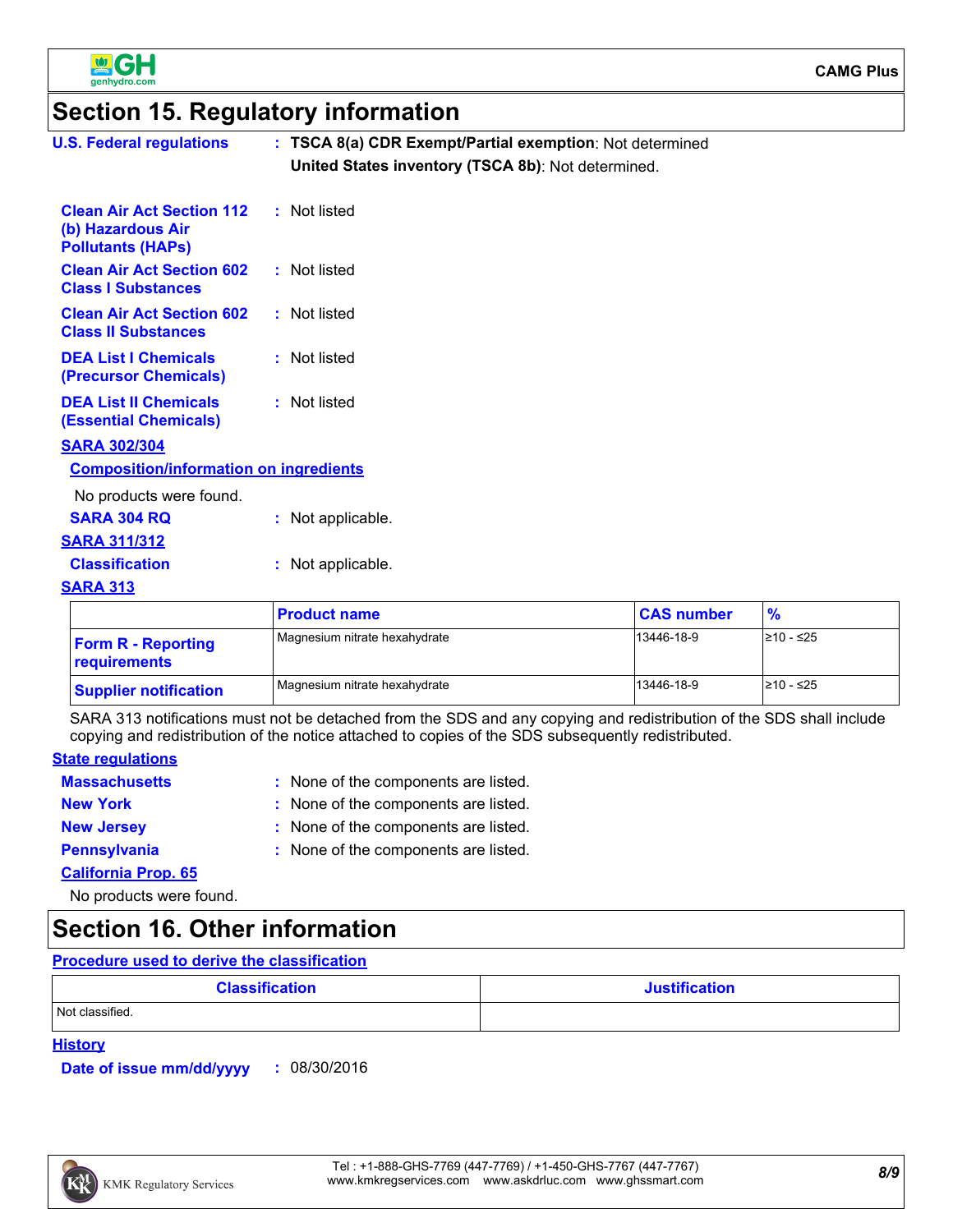

### **Section 15. Regulatory information**

| <b>U.S. Federal regulations</b>                                                   | : TSCA 8(a) CDR Exempt/Partial exemption: Not determined |                   |               |
|-----------------------------------------------------------------------------------|----------------------------------------------------------|-------------------|---------------|
|                                                                                   | United States inventory (TSCA 8b): Not determined.       |                   |               |
| <b>Clean Air Act Section 112</b><br>(b) Hazardous Air<br><b>Pollutants (HAPS)</b> | : Not listed                                             |                   |               |
| <b>Clean Air Act Section 602</b><br><b>Class I Substances</b>                     | : Not listed                                             |                   |               |
| <b>Clean Air Act Section 602</b><br><b>Class II Substances</b>                    | : Not listed                                             |                   |               |
| <b>DEA List I Chemicals</b><br>(Precursor Chemicals)                              | : Not listed                                             |                   |               |
| <b>DEA List II Chemicals</b><br><b>(Essential Chemicals)</b>                      | : Not listed                                             |                   |               |
| <b>SARA 302/304</b>                                                               |                                                          |                   |               |
| <b>Composition/information on ingredients</b>                                     |                                                          |                   |               |
| No products were found.                                                           |                                                          |                   |               |
| <b>SARA 304 RQ</b>                                                                | : Not applicable.                                        |                   |               |
| <b>SARA 311/312</b>                                                               |                                                          |                   |               |
| <b>Classification</b>                                                             | : Not applicable.                                        |                   |               |
| <b>SARA 313</b>                                                                   |                                                          |                   |               |
|                                                                                   | <b>Product name</b>                                      | <b>CAS number</b> | $\frac{9}{6}$ |
| <b>Form R - Reporting</b><br>requirements                                         | Magnesium nitrate hexahydrate                            | 13446-18-9        | ≥10 - ≤25     |

SARA 313 notifications must not be detached from the SDS and any copying and redistribution of the SDS shall include copying and redistribution of the notice attached to copies of the SDS subsequently redistributed.

Magnesium nitrate hexahydrate 13446-18-9 210 - ≤25

#### **State regulations**

| <b>Massachusetts</b>       | : None of the components are listed. |
|----------------------------|--------------------------------------|
| <b>New York</b>            | : None of the components are listed. |
| <b>New Jersey</b>          | : None of the components are listed. |
| <b>Pennsylvania</b>        | : None of the components are listed. |
| <b>California Prop. 65</b> |                                      |
|                            |                                      |

No products were found.

**Supplier notification**

### **Section 16. Other information**

#### **Procedure used to derive the classification**

| <b>Classification</b> | <b>Justification</b> |
|-----------------------|----------------------|
| Not classified.       |                      |

#### **History**

**Date of issue mm/dd/yyyy :** 08/30/2016